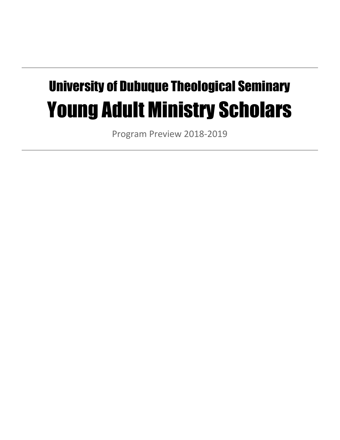# University of Dubuque Theological Seminary Young Adult Ministry Scholars

Program Preview 2018-2019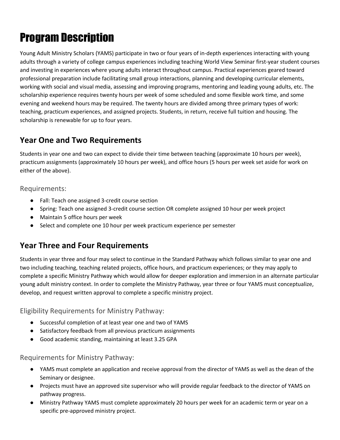## Program Description

Young Adult Ministry Scholars (YAMS) participate in two or four years of in-depth experiences interacting with young adults through a variety of college campus experiences including teaching World View Seminar first-year student courses and investing in experiences where young adults interact throughout campus. Practical experiences geared toward professional preparation include facilitating small group interactions, planning and developing curricular elements, working with social and visual media, assessing and improving programs, mentoring and leading young adults, etc. The scholarship experience requires twenty hours per week of some scheduled and some flexible work time, and some evening and weekend hours may be required. The twenty hours are divided among three primary types of work: teaching, practicum experiences, and assigned projects. Students, in return, receive full tuition and housing. The scholarship is renewable for up to four years.

## **Year One and Two Requirements**

Students in year one and two can expect to divide their time between teaching (approximate 10 hours per week), practicum assignments (approximately 10 hours per week), and office hours (5 hours per week set aside for work on either of the above).

Requirements:

- Fall: Teach one assigned 3-credit course section
- Spring: Teach one assigned 3-credit course section OR complete assigned 10 hour per week project
- Maintain 5 office hours per week
- Select and complete one 10 hour per week practicum experience per semester

## **Year Three and Four Requirements**

Students in year three and four may select to continue in the Standard Pathway which follows similar to year one and two including teaching, teaching related projects, office hours, and practicum experiences; or they may apply to complete a specific Ministry Pathway which would allow for deeper exploration and immersion in an alternate particular young adult ministry context. In order to complete the Ministry Pathway, year three or four YAMS must conceptualize, develop, and request written approval to complete a specific ministry project.

Eligibility Requirements for Ministry Pathway:

- Successful completion of at least year one and two of YAMS
- Satisfactory feedback from all previous practicum assignments
- Good academic standing, maintaining at least 3.25 GPA

Requirements for Ministry Pathway:

- YAMS must complete an application and receive approval from the director of YAMS as well as the dean of the Seminary or designee.
- Projects must have an approved site supervisor who will provide regular feedback to the director of YAMS on pathway progress.
- Ministry Pathway YAMS must complete approximately 20 hours per week for an academic term or year on a specific pre-approved ministry project.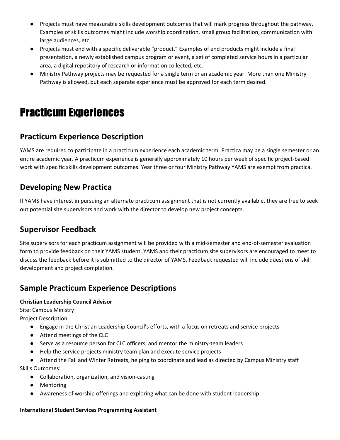- Projects must have measurable skills development outcomes that will mark progress throughout the pathway. Examples of skills outcomes might include worship coordination, small group facilitation, communication with large audiences, etc.
- Projects must end with a specific deliverable "product." Examples of end products might include a final presentation, a newly established campus program or event, a set of completed service hours in a particular area, a digital repository of research or information collected, etc.
- Ministry Pathway projects may be requested for a single term or an academic year. More than one Ministry Pathway is allowed, but each separate experience must be approved for each term desired.

## Practicum Experiences

## **Practicum Experience Description**

YAMS are required to participate in a practicum experience each academic term. Practica may be a single semester or an entire academic year. A practicum experience is generally approximately 10 hours per week of specific project-based work with specific skills development outcomes. Year three or four Ministry Pathway YAMS are exempt from practica.

## **Developing New Practica**

If YAMS have interest in pursuing an alternate practicum assignment that is not currently available, they are free to seek out potential site supervisors and work with the director to develop new project concepts.

## **Supervisor Feedback**

Site supervisors for each practicum assignment will be provided with a mid-semester and end-of-semester evaluation form to provide feedback on their YAMS student. YAMS and their practicum site supervisors are encouraged to meet to discuss the feedback before it is submitted to the director of YAMS. Feedback requested will include questions of skill development and project completion.

## **Sample Practicum Experience Descriptions**

#### **Christian Leadership Council Advisor**

Site: Campus Ministry

Project Description:

- Engage in the Christian Leadership Council's efforts, with a focus on retreats and service projects
- Attend meetings of the CLC
- Serve as a resource person for CLC officers, and mentor the ministry-team leaders
- Help the service projects ministry team plan and execute service projects
- Attend the Fall and Winter Retreats, helping to coordinate and lead as directed by Campus Ministry staff Skills Outcomes:
	- Collaboration, organization, and vision-casting
	- Mentoring
	- Awareness of worship offerings and exploring what can be done with student leadership

#### **International Student Services Programming Assistant**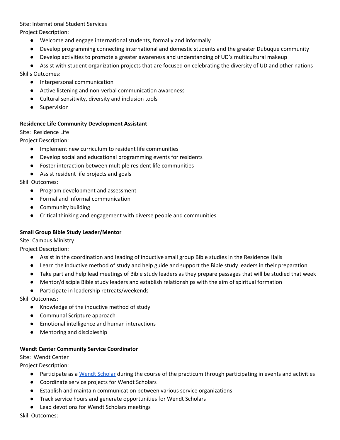#### Site: International Student Services

Project Description:

- Welcome and engage international students, formally and informally
- Develop programming connecting international and domestic students and the greater Dubuque community
- Develop activities to promote a greater awareness and understanding of UD's multicultural makeup

● Assist with student organization projects that are focused on celebrating the diversity of UD and other nations Skills Outcomes:

- Interpersonal communication
- Active listening and non-verbal communication awareness
- Cultural sensitivity, diversity and inclusion tools
- Supervision

#### **Residence Life Community Development Assistant**

Site: Residence Life

Project Description:

- Implement new curriculum to resident life communities
- Develop social and educational programming events for residents
- Foster interaction between multiple resident life communities
- Assist resident life projects and goals

Skill Outcomes:

- Program development and assessment
- Formal and informal communication
- Community building
- Critical thinking and engagement with diverse people and communities

#### **Small Group Bible Study Leader/Mentor**

Site: Campus Ministry

Project Description:

- Assist in the coordination and leading of inductive small group Bible studies in the Residence Halls
- Learn the inductive method of study and help guide and support the Bible study leaders in their preparation
- Take part and help lead meetings of Bible study leaders as they prepare passages that will be studied that week
- Mentor/disciple Bible study leaders and establish relationships with the aim of spiritual formation
- Participate in leadership retreats/weekends

Skill Outcomes:

- Knowledge of the inductive method of study
- Communal Scripture approach
- Emotional intelligence and human interactions
- Mentoring and discipleship

#### **Wendt Center Community Service Coordinator**

Site: Wendt Center

Project Description:

- Participate as a Wendt [Scholar](http://www.dbq.edu/wendt/) during the course of the practicum through participating in events and activities
- Coordinate service projects for Wendt Scholars
- Establish and maintain communication between various service organizations
- Track service hours and generate opportunities for Wendt Scholars
- Lead devotions for Wendt Scholars meetings

Skill Outcomes: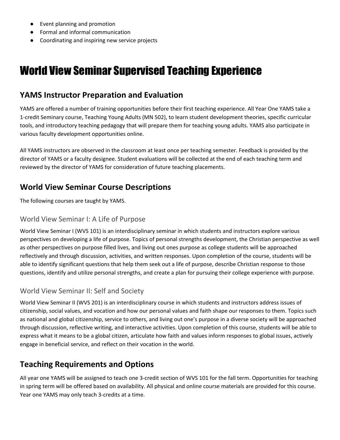- Event planning and promotion
- Formal and informal communication
- Coordinating and inspiring new service projects

## World View Seminar Supervised Teaching Experience

## **YAMS Instructor Preparation and Evaluation**

YAMS are offered a number of training opportunities before their first teaching experience. All Year One YAMS take a 1-credit Seminary course, Teaching Young Adults (MN 502), to learn student development theories, specific curricular tools, and introductory teaching pedagogy that will prepare them for teaching young adults. YAMS also participate in various faculty development opportunities online.

All YAMS instructors are observed in the classroom at least once per teaching semester. Feedback is provided by the director of YAMS or a faculty designee. Student evaluations will be collected at the end of each teaching term and reviewed by the director of YAMS for consideration of future teaching placements.

## **World View Seminar Course Descriptions**

The following courses are taught by YAMS.

### World View Seminar I: A Life of Purpose

World View Seminar I (WVS 101) is an interdisciplinary seminar in which students and instructors explore various perspectives on developing a life of purpose. Topics of personal strengths development, the Christian perspective as well as other perspectives on purpose filled lives, and living out ones purpose as college students will be approached reflectively and through discussion, activities, and written responses. Upon completion of the course, students will be able to identify significant questions that help them seek out a life of purpose, describe Christian response to those questions, identify and utilize personal strengths, and create a plan for pursuing their college experience with purpose.

### World View Seminar II: Self and Society

World View Seminar II (WVS 201) is an interdisciplinary course in which students and instructors address issues of citizenship, social values, and vocation and how our personal values and faith shape our responses to them. Topics such as national and global citizenship, service to others, and living out one's purpose in a diverse society will be approached through discussion, reflective writing, and interactive activities. Upon completion of this course, students will be able to express what it means to be a global citizen, articulate how faith and values inform responses to global issues, actively engage in beneficial service, and reflect on their vocation in the world.

## **Teaching Requirements and Options**

All year one YAMS will be assigned to teach one 3-credit section of WVS 101 for the fall term. Opportunities for teaching in spring term will be offered based on availability. All physical and online course materials are provided for this course. Year one YAMS may only teach 3-credits at a time.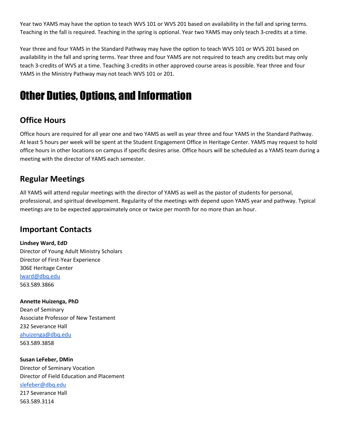Year two YAMS may have the option to teach WVS 101 or WVS 201 based on availability in the fall and spring terms. Teaching in the fall is required. Teaching in the spring is optional. Year two YAMS may only teach 3-credits at a time.

Year three and four YAMS in the Standard Pathway may have the option to teach WVS 101 or WVS 201 based on availability in the fall and spring terms. Year three and four YAMS are not required to teach any credits but may only teach 3-credits of WVS at a time. Teaching 3-credits in other approved course areas is possible. Year three and four YAMS in the Ministry Pathway may not teach WVS 101 or 201.

## Other Duties, Options, and Information

## **Office Hours**

Office hours are required for all year one and two YAMS as well as year three and four YAMS in the Standard Pathway. At least 5 hours per week will be spent at the Student Engagement Office in Heritage Center. YAMS may request to hold office hours in other locations on campus if specific desires arise. Office hours will be scheduled as a YAMS team during a meeting with the director of YAMS each semester.

### **Regular Meetings**

All YAMS will attend regular meetings with the director of YAMS as well as the pastor of students for personal, professional, and spiritual development. Regularity of the meetings with depend upon YAMS year and pathway. Typical meetings are to be expected approximately once or twice per month for no more than an hour.

### **Important Contacts**

**Lindsey Ward, EdD** Director of Young Adult Ministry Scholars Director of First-Year Experience 306E Heritage Center [lward@dbq.edu](mailto:lward@dbq.edu) 563.589.3866

**Annette Huizenga, PhD** Dean of Seminary Associate Professor of New Testament 232 Severance Hall [ahuizenga@dbq.edu](mailto:ahuizenga@dbq.edu) 563.589.3858

**Susan LeFeber, DMin** Director of Seminary Vocation Director of Field Education and Placement [slefeber@dbq.edu](mailto:slefeber@dbq.edu) 217 Severance Hall 563.589.3114